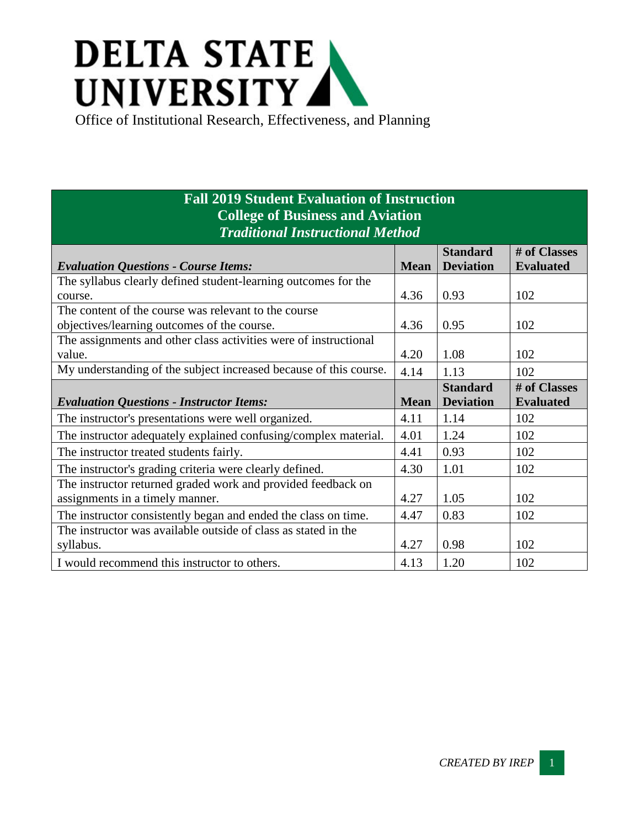## **DELTA STATE** UNIVERSITY

Office of Institutional Research, Effectiveness, and Planning

## **Fall 2019 Student Evaluation of Instruction College of Business and Aviation** *Traditional Instructional Method*

|                                                                   |             | <b>Standard</b>  | # of Classes     |
|-------------------------------------------------------------------|-------------|------------------|------------------|
| <b>Evaluation Questions - Course Items:</b>                       | <b>Mean</b> | <b>Deviation</b> | <b>Evaluated</b> |
| The syllabus clearly defined student-learning outcomes for the    |             |                  |                  |
| course.                                                           | 4.36        | 0.93             | 102              |
| The content of the course was relevant to the course              |             |                  |                  |
| objectives/learning outcomes of the course.                       | 4.36        | 0.95             | 102              |
| The assignments and other class activities were of instructional  |             |                  |                  |
| value.                                                            | 4.20        | 1.08             | 102              |
| My understanding of the subject increased because of this course. | 4.14        | 1.13             | 102              |
|                                                                   |             | <b>Standard</b>  | # of Classes     |
| <b>Evaluation Questions - Instructor Items:</b>                   | <b>Mean</b> | <b>Deviation</b> | <b>Evaluated</b> |
| The instructor's presentations were well organized.               | 4.11        | 1.14             | 102              |
| The instructor adequately explained confusing/complex material.   | 4.01        | 1.24             | 102              |
| The instructor treated students fairly.                           | 4.41        | 0.93             | 102              |
| The instructor's grading criteria were clearly defined.           | 4.30        | 1.01             | 102              |
| The instructor returned graded work and provided feedback on      |             |                  |                  |
| assignments in a timely manner.                                   | 4.27        | 1.05             | 102              |
| The instructor consistently began and ended the class on time.    | 4.47        | 0.83             | 102              |
| The instructor was available outside of class as stated in the    |             |                  |                  |
| syllabus.                                                         | 4.27        | 0.98             | 102              |
| I would recommend this instructor to others.                      | 4.13        | 1.20             | 102              |